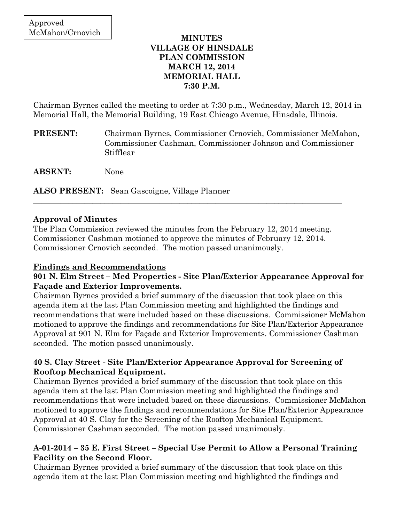#### **MINUTES VILLAGE OF HINSDALE PLAN COMMISSION MARCH 12, 2014 MEMORIAL HALL 7:30 P.M.**

Chairman Byrnes called the meeting to order at 7:30 p.m., Wednesday, March 12, 2014 in Memorial Hall, the Memorial Building, 19 East Chicago Avenue, Hinsdale, Illinois.

- **PRESENT:** Chairman Byrnes, Commissioner Crnovich, Commissioner McMahon, Commissioner Cashman, Commissioner Johnson and Commissioner Stifflear
- **ABSENT:** None

**ALSO PRESENT:** Sean Gascoigne, Village Planner

# **Approval of Minutes**

The Plan Commission reviewed the minutes from the February 12, 2014 meeting. Commissioner Cashman motioned to approve the minutes of February 12, 2014. Commissioner Crnovich seconded. The motion passed unanimously.

\_\_\_\_\_\_\_\_\_\_\_\_\_\_\_\_\_\_\_\_\_\_\_\_\_\_\_\_\_\_\_\_\_\_\_\_\_\_\_\_\_\_\_\_\_\_\_\_\_\_\_\_\_\_\_\_\_\_\_\_\_\_\_\_\_\_\_\_\_\_\_\_\_\_\_\_\_\_

# **Findings and Recommendations**

#### **901 N. Elm Street – Med Properties - Site Plan/Exterior Appearance Approval for Façade and Exterior Improvements.**

Chairman Byrnes provided a brief summary of the discussion that took place on this agenda item at the last Plan Commission meeting and highlighted the findings and recommendations that were included based on these discussions. Commissioner McMahon motioned to approve the findings and recommendations for Site Plan/Exterior Appearance Approval at 901 N. Elm for Façade and Exterior Improvements. Commissioner Cashman seconded. The motion passed unanimously.

# **40 S. Clay Street - Site Plan/Exterior Appearance Approval for Screening of Rooftop Mechanical Equipment.**

Chairman Byrnes provided a brief summary of the discussion that took place on this agenda item at the last Plan Commission meeting and highlighted the findings and recommendations that were included based on these discussions. Commissioner McMahon motioned to approve the findings and recommendations for Site Plan/Exterior Appearance Approval at 40 S. Clay for the Screening of the Rooftop Mechanical Equipment. Commissioner Cashman seconded. The motion passed unanimously.

# **A-01-2014 – 35 E. First Street – Special Use Permit to Allow a Personal Training Facility on the Second Floor.**

Chairman Byrnes provided a brief summary of the discussion that took place on this agenda item at the last Plan Commission meeting and highlighted the findings and